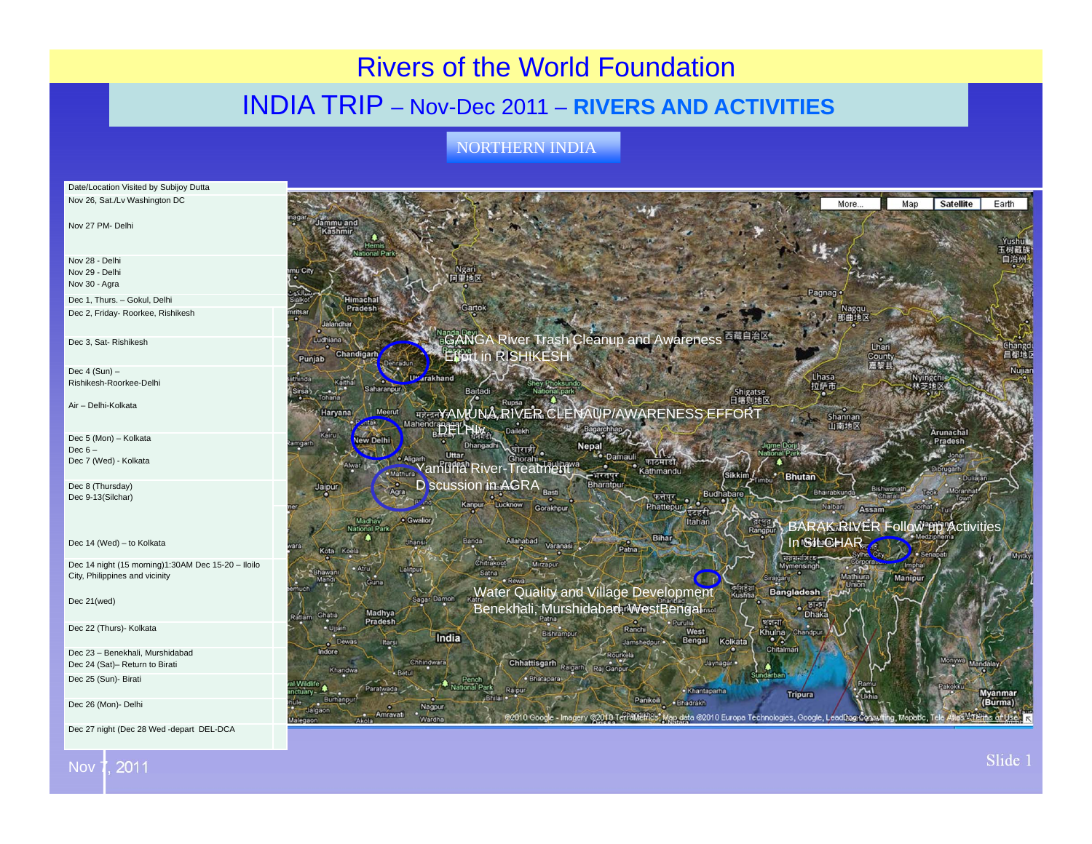## Rivers of the World Foundation

## INDIA TRIP – Nov-Dec 2011 – **RIVERS AND ACTIVITIES**

NORTHERN INDIA



Nov 7, 2011

Slide 1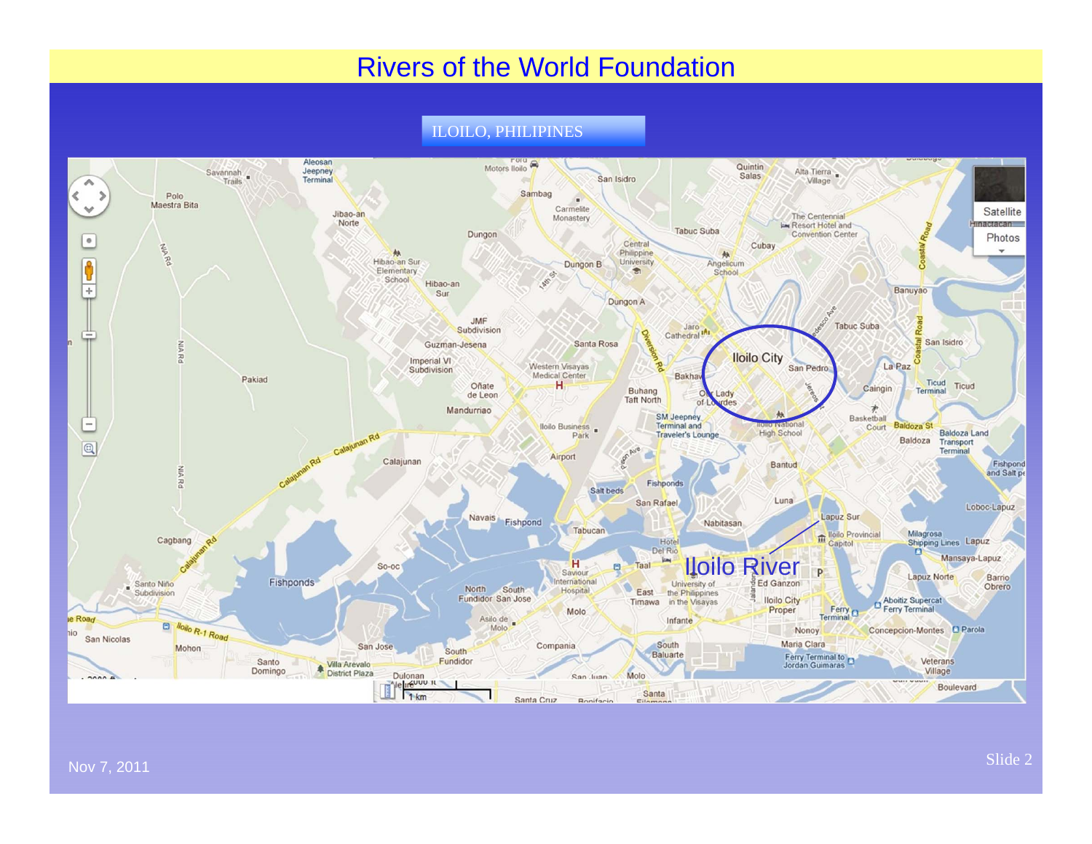## Rivers of the World Foundation

ILOILO, PHILIPINES